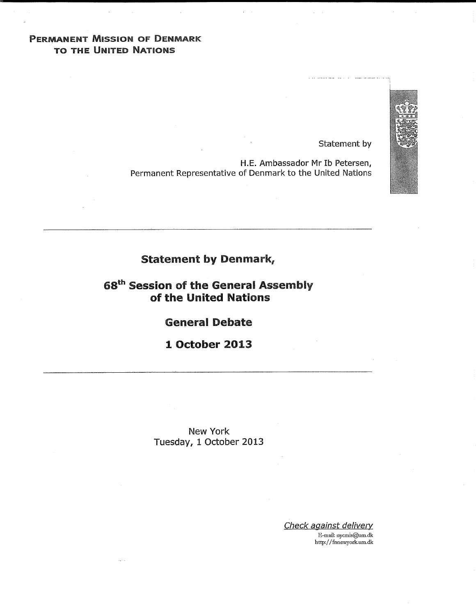# PERMANENT MissiON OF DENMARK TO THE UNITED NATIONS

Statement by

.......................... i

H.E. Ambassador Mr Ib Petersen, Permanent Representative of Denmark to the United Nations

# Statement by Denmark,

68<sup>th</sup> Session of the General Assembly of the United Nations

General Debate

1 October 2013

New York Tuesday, 1 October 2013

> Check against delivery E-mail: nycmis@um.dk http://fnnewyork.um.dk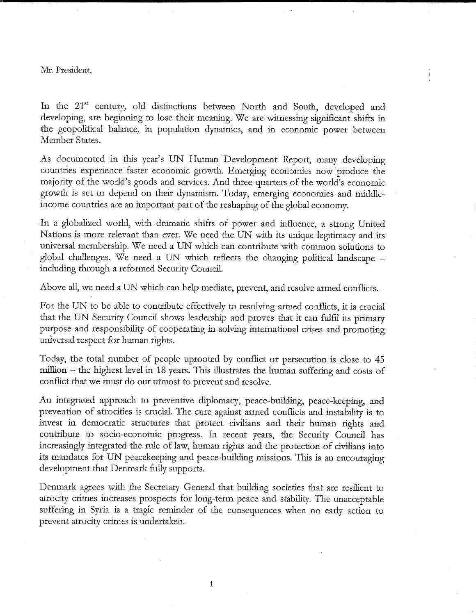## Mr. President,

In the 21<sup>st</sup> century, old distinctions between North and South, developed and developing, are beginning to lose their meaning. We are wimessing significant shifts in the geopolitical balance, in population dynamics, and in economic power between Member States.

As documented in this year's UN Human Development Report, many developing countries experience faster economic growth. Emerging economies now produce the majority of the world's goods and services. And three-quarters of the world's economic growth is set to depend on their dynamism. Today, emerging economies and middleincome countries are an important part of the reshaping of the global economy.

In a globalized world, with dramatic shifts of power and influence, a strong United Nations is more relevant than ever. We need the UN with its unique legitimacy and its universal membership. We need a UN which can contribute with common solutions to global challenges. We need a UN which reflects the changing political landscape – including through a reformed Security Council.

Above all, we need a UN which can help mediate, prevent, and resolve armed conflicts.

For the UN to be able to contribute effectively to resolving armed conflicts, it is crucial that the UN Security Council shows leadership and proves that it can fulfil its primary purpose and responsibility of cooperating in solving international crises and promoting universal respect for human rights.

Today, the total number of people uprooted by conflict or persecution is close to 45 million – the highest level in 18 years. This illustrates the human suffering and costs of conflict that we must do our utmost to prevent and resolve.

An integrated approach to preventive diplomacy, peace-building, peace-keeping, and prevention of atrocities is crucial. The cure against armed conflicts and instability is to invest in democratic structures that protect civilians and their human rights and contribute to socio-economic progress. In recent years, the Security Council has increasingly integrated the rule of law, human rights and the protection of civilians into its mandates for UN peacekeeping and peace-building missions. This is an encouraging development that Denmark fully supports.

Denmark agrees with the Secretary General that building societies that are resilient to atrocity crimes increases prospects for long-term peace and stability. The unacceptable suffering in Syria is a tragic reminder of the consequences when no early action to prevent atrocity crimes is undertaken.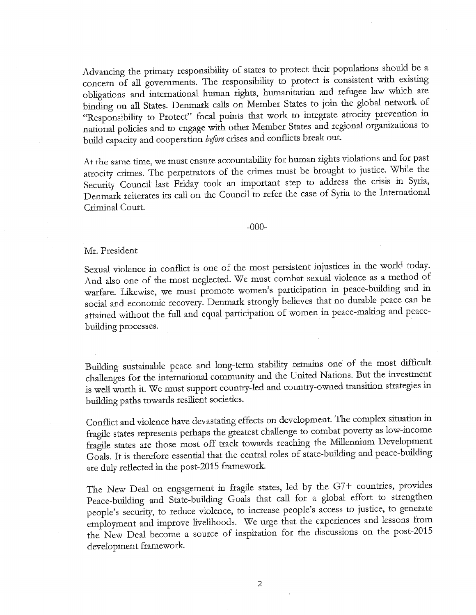Advancing the primary responsibility of states to protect their populations should be a concern of all governments. The responsibility to protect is consistent with existing obligations and international human rights, humanitarian and refugee law which are binding on all States. Denmark calls on Member States to join the global network of "Responsibility to Protect" focal points that work to integrate atrocity prevention in national policies and to engage with other Member States and regional organizations to build capacity and cooperation before crises and conflicts break out.

At the same time, we must ensure accountability, for human rights violations and for past atrocity crimes. The perpetrators of the crimes must be brought to justice. While the Security Council last Friday took an important step to address the crisis in Syria, Denmark reiterates its call on the Council to refer the case of Syria to the International Criminal Court.

-000-

#### Mr. President

Sexual violence in conflict is one of the most persistent injustices in the world today. And also one of the most neglected. We must combat sexual violence as a method of warfare. Likewise, we must promote women's participation in peace-building and in social and economic recovery. Denmark strongly believes that no durable peace can be attained without the full and equal participation of women in peace-making and peacebuilding processes.

Building sustainable peace and long-term stability remains one of the most difficult challenges for the international community and the United Nations. But the investment is well worth it. We must support country-led and country-owned transition strategies in building paths towards resilient societies.

Conflict and violence have devastating effects on development. The complex situation in fragile states represents perhaps the greatest challenge to combat poverty as low-income fragile states are those most off track towards reaching the Millennium Development Goals. It is therefore essential that the central roles of state-building and peace-building are duly reflected in the post-2015 framework.

The New Deal on engagement in fragile states, led by the G7+ countries, provides Peace-building and State-building Goals that call for a global effort to strengthen people's security, to reduce violence, to increase people's access to justice, to generate employment and improve livelihoods. We urge that the experiences and lessons from the New Deal become a source of inspiration for the discussions on the post-2015 development framework.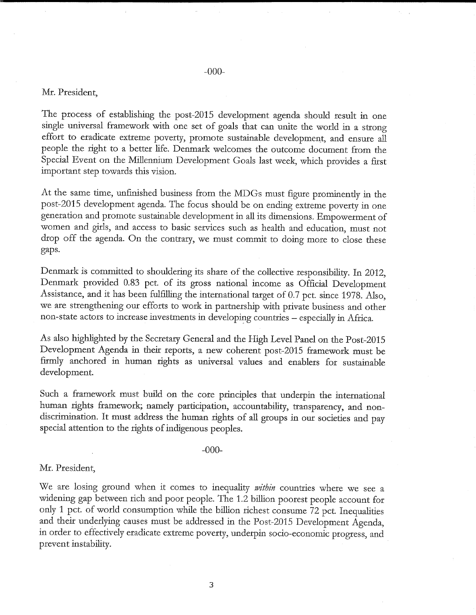# Mr. President,

The process of establishing the post-2015 development agenda should result in one single universal framework with one set of goals that can unite the world in a strong effort to eradicate extreme poverty, promote sustainable development, and ensure all people the right to a better life. Denmark welcomes the outcome document from the Special Event on the Millennium Development Goals last week, which provides a first important step towards this vision.

At the same time, unfinished business from the MDGs must figure prominently in the post-2015 development agenda. The focus should be on ending extreme poverty in one generation and promote sustainable development in all its dimensions. Empowerment of women and girls, and access to basic services such as health and education, must not drop off the agenda. On the contrary, we must commit to doing more to close these gaps.

Denmark is committed to shouldering its share of the collective responsibility. In 2012, Denmark provided 0.83 pct. of its gross national income as Official Development Assistance, and it has been fulfilling the international target of 0.7 pct. since 1978. Also, we are strengthening our efforts to work in parmership with private business and other non-state actors to increase investments in developing countries - especially in Africa.

As also highlighted by the Secretary General and the High Level Pand on the Post-2015 Development Agenda in their reports, a new coherent post-2015 framework must be ftrmly anchored in human rights as universal values and enablers for sustainable development.

Such a framework must build on the core principles that underpin the international human rights framework; namely participation, accountability, transparency, and nondiscrimination. It must address the human rights of all groups in our societies and pay special attention to the rights of indigenous peoples.

#### -000-

## Mr. President,

We are losing ground when it comes to inequality within countries where we see a widening gap between rich and poor people. The 1.2 billion poorest people account for only 1 pct. of world consumption while the billion richest consume 72 pct. Inequalities and their underlying causes must be addressed in the Post-2015 Devdopment Agenda, in order to effectively eradicate extreme poverty, underpin socio-economic progress, and prevent instability.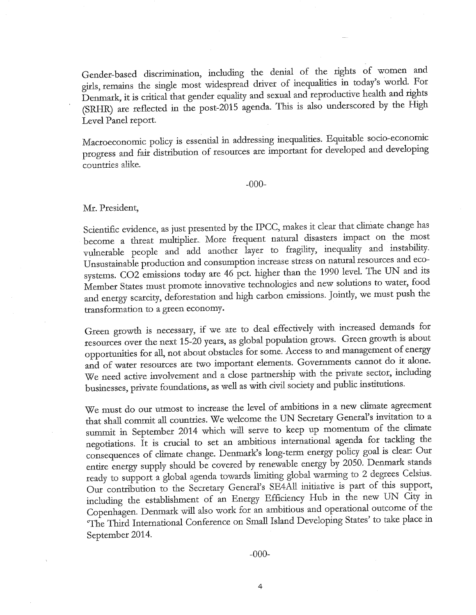Gender-based discrimination, including the denial of the rights of women and girls, remains the single most widespread driver of inequalities in today's world. For Denmark, it is critical that gender equality and sexual and reproductive health and rights (SRHR) are reflected in the post-2015 agenda. This is also underscored by the High Level Panel report.

Macroeconomic policy is essential in addressing inequalities. Equitable socio-economic progress and fair distribution of resources are important for developed and developing countries alike.

-000-

Mr. President,

Scientific evidence, as just presented by the IPCC, makes it clear that climate change has become a threat multiplier. More frequent natural disasters impact on the most vulnerable people and add another layer to fragility, inequality and instability. Unsustainable production and consumption increase stress on natural resources and ecosystems. CO2 emissions today are 46 pct. higher than the 1990 level. The UN and its Member States must promote innovative technologies and new solutions to water, food and energy scarcity, deforestation and high carbon emissions. Jointly, we must push the transformation to a green economy.

Green growth is necessary, if we are to deal effectively with increased demands for resources over the next 15-20 years, as global population grows. Green growth is about opportunities for all, not about obstacles for some. Access to and management of energy and of water resources are two important elements. Governments cannot do it done. We need active involvement and a close partnership with the private sector, including businesses, private foundations, as well as with civil society and public institutions.

We must do our utmost to increase the level of ambitions in a new climate agreement that shall commit all countries. We welcome the UN Secretary General's invitation to a summit in September 2014 which will serve to keep up momentum of the climate negotiations. It is crucial to set an ambitious international agenda for tackling the consequences of climate change. Denmark's long-term energy policy goal is dear: Our entire energy supply should be covered by renewable energy by 2050. Denmark stands ready to support a global agenda towards limiting global warming to 2 degrees Celsius. Our contribution to the Secretary General's SE4All initiative is part of this support, including the establishment of an Energy Efficiency Hub in the new UN City in Copenhagen. Denmark will also work for an ambitious and operational outcome of the 'The Third International Conference on Small Island Developing States' to take place in September 2014.

-000-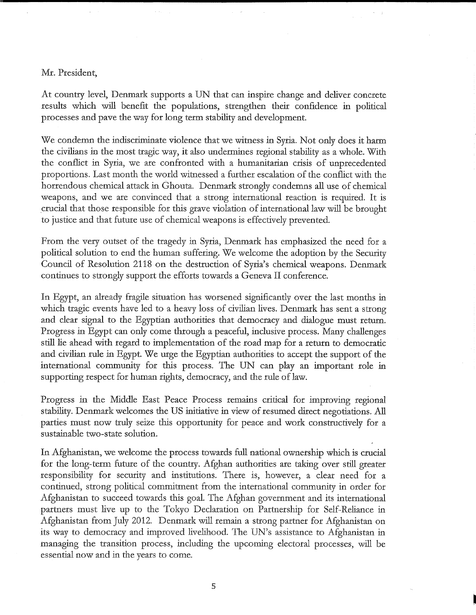# Mr. President,

At country level, Denmark supports a UN that can inspire change and deliver concrete results which will benefit the populations, strengthen their confidence in political processes and pave the way for long term stability and development.

We condemn the indiscriminate violence that we wimess in Syria. Not only does it harm the civilians in the most tragic way, it also undermines regional stability as a whole. With the conflict in Syria, we are confronted with a humanitarian crisis of unprecedented proportions. Last month the world wimessed a further escalation of the conflict with the horrendous chemical attack in Ghouta. Denmark strongly condemns all use of chemical weapons, and we are convinced that a strong international reaction is required. It is crucial that those responsible for this grave violation of international law will be brought to justice and that future use of chemica! weapons is effectively prevented.

From the very outset of the tragedy in Syria, Denmark has emphasized the need for a political solution to end the human suffering. We welcome the adoption by the Security Council of Resolution 2118 on the destruction of Syria's chemical weapons. Denmark continues to strongly support the efforts towards a Geneva II conference.

In Egypt, an already fragile situation has worsened significantly over the last months in which tragic events have led to a heavy loss of civilian lives. Denmark has sent a strong and clear signal to the Egyptian authorities that democracy and dialogue must return. Progress in Egypt can only come through a peaceful, inclusive process. Many challenges still lie ahead with regard to implementation of the road map for a return to democratic and civilian rule in Egypt. We urge the Egyptian authorities to accept the support of the international community for this process. The UN can play an important role in supporting respect for human rights, democracy, and the rule of law.

Progress in the Middle East Peace Process remains critical for improving regional stability. Denmark welcomes the US initiative in view of resumed direct negotiations. All parties must now truly seize this opportunity for peace and work constructively for a sustainable two-state solution.

In Afghanistan, we welcome the process towards full national ownership which is crucial for the long-term future of the country. Afghan authorities are taking over still greater responsibility for security and institutions. There is, however, a clear need for a continued, strong political commitment from the international community in order for Afghanistan to succeed towards this goal. The Afghan government and its international partners must live up to the Tokyo Declaration on Partnership for Self-Reliance in Afghanistan from July 2012. Denmark will remain a strong partner for Afghanistan on its way to democracy and improved livelihood. The UN's assistance to Afghanistan in managing the transition process, including the upcoming electoral processes, will be essential now and in the years to come.